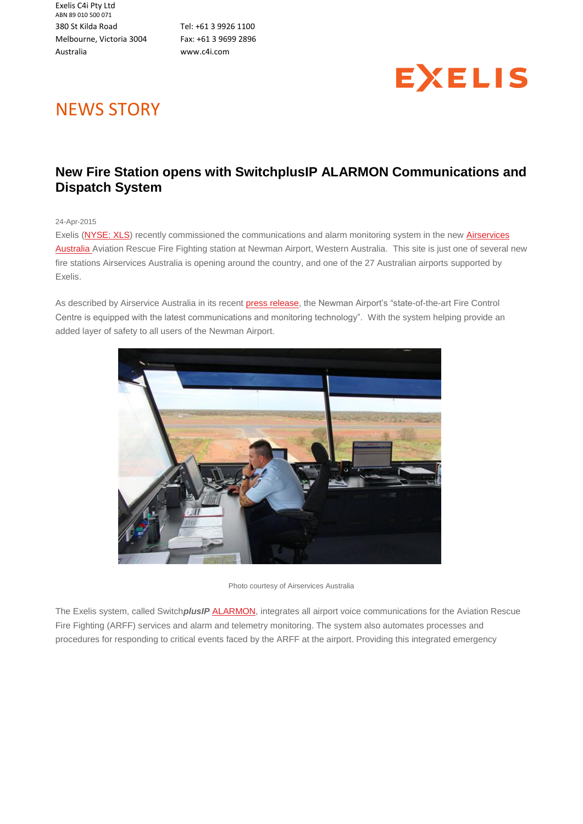Exelis C4i Pty Ltd ABN 89 010 500 071 380 St Kilda Road Melbourne, Victoria 3004 Australia

Tel: +61 3 9926 1100 Fax: +61 3 9699 2896 [www.c4i.com](http://www.c4i.com/)



## NEWS STORY

## **New Fire Station opens with SwitchplusIP ALARMON Communications and Dispatch System**

24-Apr-2015

Exelis [\(NYSE: XLS\)](http://web.archive.org/web/20160329022811mp_/http:/www.exelisinc.com/) recently commissioned the communications and alarm monitoring system in the new Airservices [Australia](http://web.archive.org/web/20160329022811mp_/http:/www.airservicesaustralia.com/) Aviation Rescue Fire Fighting station at Newman Airport, Western Australia. This site is just one of several new fire stations Airservices Australia is opening around the country, and one of the 27 Australian airports supported by Exelis.

As described by Airservice Australia in its recent [press release,](http://web.archive.org/web/20160329022811mp_/https:/newsroom.airservicesaustralia.com/releases/new-fire-station-for-newman-airport-officially-opens) the Newman Airport's "state-of-the-art Fire Control Centre is equipped with the latest communications and monitoring technology". With the system helping provide an added layer of safety to all users of the Newman Airport.



Photo courtesy of Airservices Australia

The Exelis system, called Switch*plusIP* [ALARMON,](http://web.archive.org/web/20160329022811mp_/http:/c4i.com/public-safety/fire/fire-alarmon) integrates all airport voice communications for the Aviation Rescue Fire Fighting (ARFF) services and alarm and telemetry monitoring. The system also automates processes and procedures for responding to critical events faced by the ARFF at the airport. Providing this integrated emergency